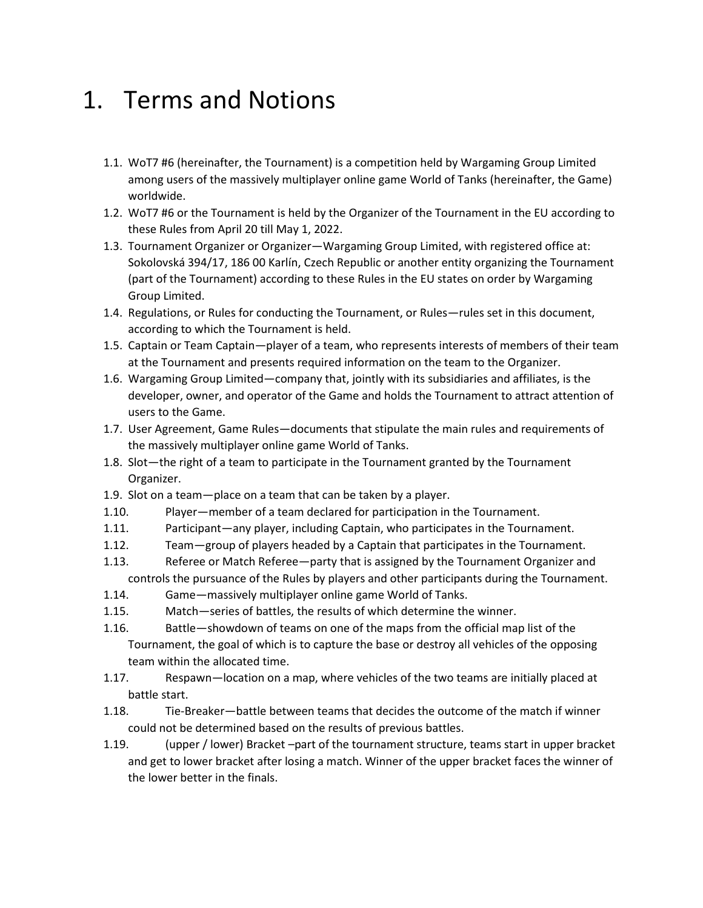#### 1. Terms and Notions

- 1.1. WoT7 #6 (hereinafter, the Tournament) is a competition held by Wargaming Group Limited among users of the massively multiplayer online game World of Tanks (hereinafter, the Game) worldwide.
- 1.2. WoT7 #6 or the Tournament is held by the Organizer of the Tournament in the EU according to these Rules from April 20 till May 1, 2022.
- 1.3. Tournament Organizer or Organizer—Wargaming Group Limited, with registered office at: Sokolovská 394/17, 186 00 Karlín, Czech Republic or another entity organizing the Tournament (part of the Tournament) according to these Rules in the EU states on order by Wargaming Group Limited.
- 1.4. Regulations, or Rules for conducting the Tournament, or Rules—rules set in this document, according to which the Tournament is held.
- 1.5. Captain or Team Captain—player of a team, who represents interests of members of their team at the Tournament and presents required information on the team to the Organizer.
- 1.6. Wargaming Group Limited—company that, jointly with its subsidiaries and affiliates, is the developer, owner, and operator of the Game and holds the Tournament to attract attention of users to the Game.
- 1.7. User Agreement, Game Rules—documents that stipulate the main rules and requirements of the massively multiplayer online game World of Tanks.
- 1.8. Slot—the right of a team to participate in the Tournament granted by the Tournament Organizer.
- 1.9. Slot on a team—place on a team that can be taken by a player.
- 1.10. Player—member of a team declared for participation in the Tournament.
- 1.11. Participant—any player, including Captain, who participates in the Tournament.
- 1.12. Team—group of players headed by a Captain that participates in the Tournament.
- 1.13. Referee or Match Referee—party that is assigned by the Tournament Organizer and controls the pursuance of the Rules by players and other participants during the Tournament.
- 1.14. Game—massively multiplayer online game World of Tanks.
- 1.15. Match—series of battles, the results of which determine the winner.
- 1.16. Battle—showdown of teams on one of the maps from the official map list of the Tournament, the goal of which is to capture the base or destroy all vehicles of the opposing team within the allocated time.
- 1.17. Respawn—location on a map, where vehicles of the two teams are initially placed at battle start.
- 1.18. Tie-Breaker—battle between teams that decides the outcome of the match if winner could not be determined based on the results of previous battles.
- 1.19. (upper / lower) Bracket –part of the tournament structure, teams start in upper bracket and get to lower bracket after losing a match. Winner of the upper bracket faces the winner of the lower better in the finals.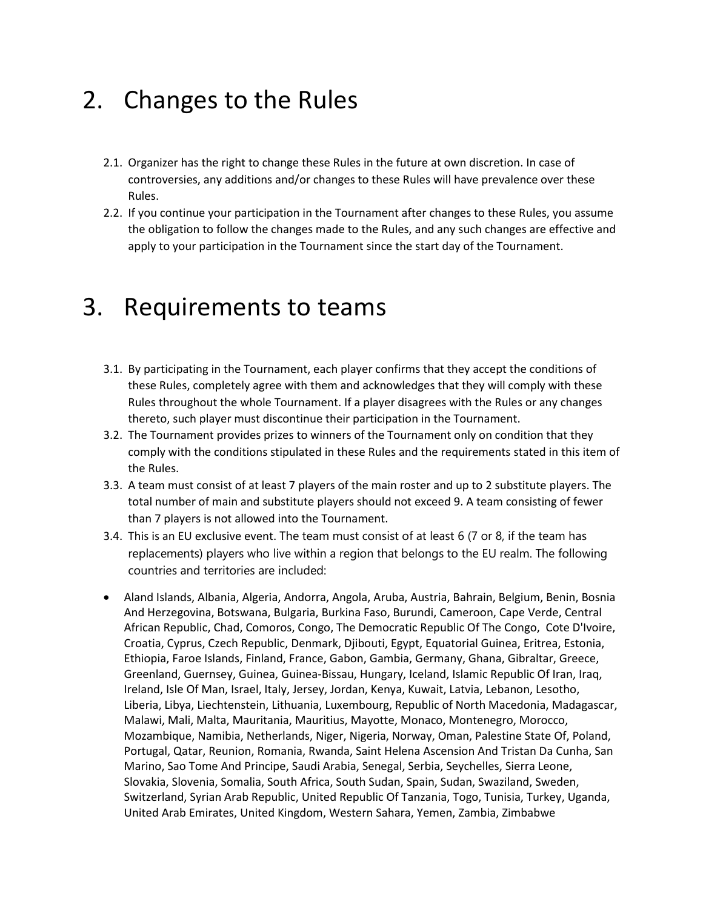### 2. Changes to the Rules

- 2.1. Organizer has the right to change these Rules in the future at own discretion. In case of controversies, any additions and/or changes to these Rules will have prevalence over these Rules.
- 2.2. If you continue your participation in the Tournament after changes to these Rules, you assume the obligation to follow the changes made to the Rules, and any such changes are effective and apply to your participation in the Tournament since the start day of the Tournament.

#### 3. Requirements to teams

- 3.1. By participating in the Tournament, each player confirms that they accept the conditions of these Rules, completely agree with them and acknowledges that they will comply with these Rules throughout the whole Tournament. If a player disagrees with the Rules or any changes thereto, such player must discontinue their participation in the Tournament.
- 3.2. The Tournament provides prizes to winners of the Tournament only on condition that they comply with the conditions stipulated in these Rules and the requirements stated in this item of the Rules.
- 3.3. A team must consist of at least 7 players of the main roster and up to 2 substitute players. The total number of main and substitute players should not exceed 9. A team consisting of fewer than 7 players is not allowed into the Tournament.
- 3.4. This is an EU exclusive event. The team must consist of at least 6 (7 or 8, if the team has replacements) players who live within a region that belongs to the EU realm. The following countries and territories are included:
- Aland Islands, Albania, Algeria, Andorra, Angola, Aruba, Austria, Bahrain, Belgium, Benin, Bosnia And Herzegovina, Botswana, Bulgaria, Burkina Faso, Burundi, Cameroon, Cape Verde, Central African Republic, Chad, Comoros, Congo, The Democratic Republic Of The Congo, Cote D'Ivoire, Croatia, Cyprus, Czech Republic, Denmark, Djibouti, Egypt, Equatorial Guinea, Eritrea, Estonia, Ethiopia, Faroe Islands, Finland, France, Gabon, Gambia, Germany, Ghana, Gibraltar, Greece, Greenland, Guernsey, Guinea, Guinea-Bissau, Hungary, Iceland, Islamic Republic Of Iran, Iraq, Ireland, Isle Of Man, Israel, Italy, Jersey, Jordan, Kenya, Kuwait, Latvia, Lebanon, Lesotho, Liberia, Libya, Liechtenstein, Lithuania, Luxembourg, Republic of North Macedonia, Madagascar, Malawi, Mali, Malta, Mauritania, Mauritius, Mayotte, Monaco, Montenegro, Morocco, Mozambique, Namibia, Netherlands, Niger, Nigeria, Norway, Oman, Palestine State Of, Poland, Portugal, Qatar, Reunion, Romania, Rwanda, Saint Helena Ascension And Tristan Da Cunha, San Marino, Sao Tome And Principe, Saudi Arabia, Senegal, Serbia, Seychelles, Sierra Leone, Slovakia, Slovenia, Somalia, South Africa, South Sudan, Spain, Sudan, Swaziland, Sweden, Switzerland, Syrian Arab Republic, United Republic Of Tanzania, Togo, Tunisia, Turkey, Uganda, United Arab Emirates, United Kingdom, Western Sahara, Yemen, Zambia, Zimbabwe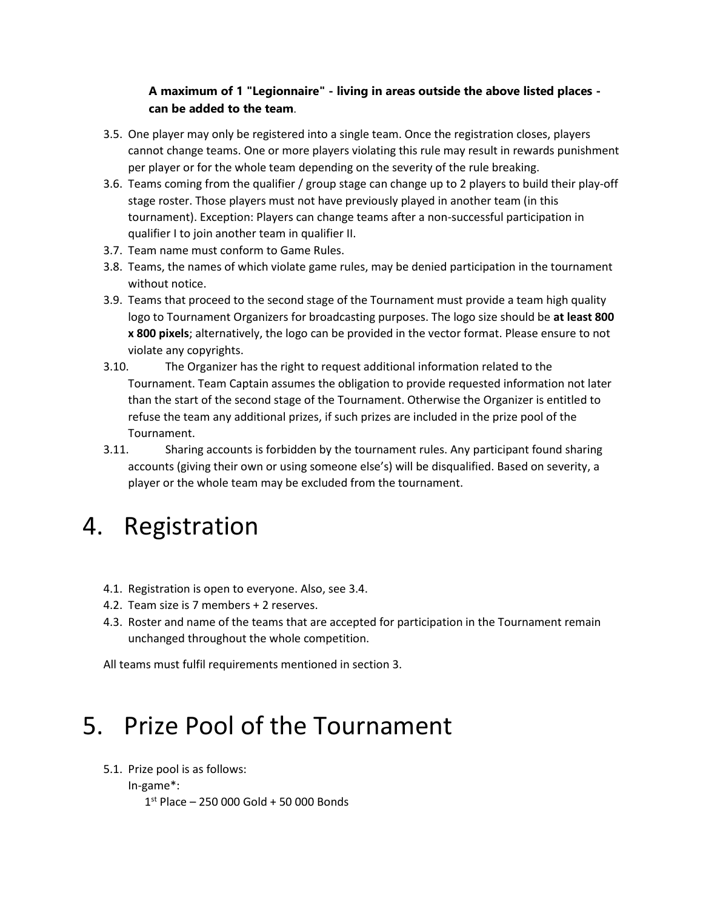#### **A maximum of 1 "Legionnaire" - living in areas outside the above listed places can be added to the team**.

- 3.5. One player may only be registered into a single team. Once the registration closes, players cannot change teams. One or more players violating this rule may result in rewards punishment per player or for the whole team depending on the severity of the rule breaking.
- 3.6. Teams coming from the qualifier / group stage can change up to 2 players to build their play-off stage roster. Those players must not have previously played in another team (in this tournament). Exception: Players can change teams after a non-successful participation in qualifier I to join another team in qualifier II.
- 3.7. Team name must conform to Game Rules.
- 3.8. Teams, the names of which violate game rules, may be denied participation in the tournament without notice.
- 3.9. Teams that proceed to the second stage of the Tournament must provide a team high quality logo to Tournament Organizers for broadcasting purposes. The logo size should be **at least 800 x 800 pixels**; alternatively, the logo can be provided in the vector format. Please ensure to not violate any copyrights.
- 3.10. The Organizer has the right to request additional information related to the Tournament. Team Captain assumes the obligation to provide requested information not later than the start of the second stage of the Tournament. Otherwise the Organizer is entitled to refuse the team any additional prizes, if such prizes are included in the prize pool of the Tournament.
- 3.11. Sharing accounts is forbidden by the tournament rules. Any participant found sharing accounts (giving their own or using someone else's) will be disqualified. Based on severity, a player or the whole team may be excluded from the tournament.

#### 4. Registration

- 4.1. Registration is open to everyone. Also, see 3.4.
- 4.2. Team size is 7 members + 2 reserves.
- 4.3. Roster and name of the teams that are accepted for participation in the Tournament remain unchanged throughout the whole competition.

All teams must fulfil requirements mentioned in section 3.

### 5. Prize Pool of the Tournament

5.1. Prize pool is as follows:

```
In-game*:
```
1 st Place – 250 000 Gold + 50 000 Bonds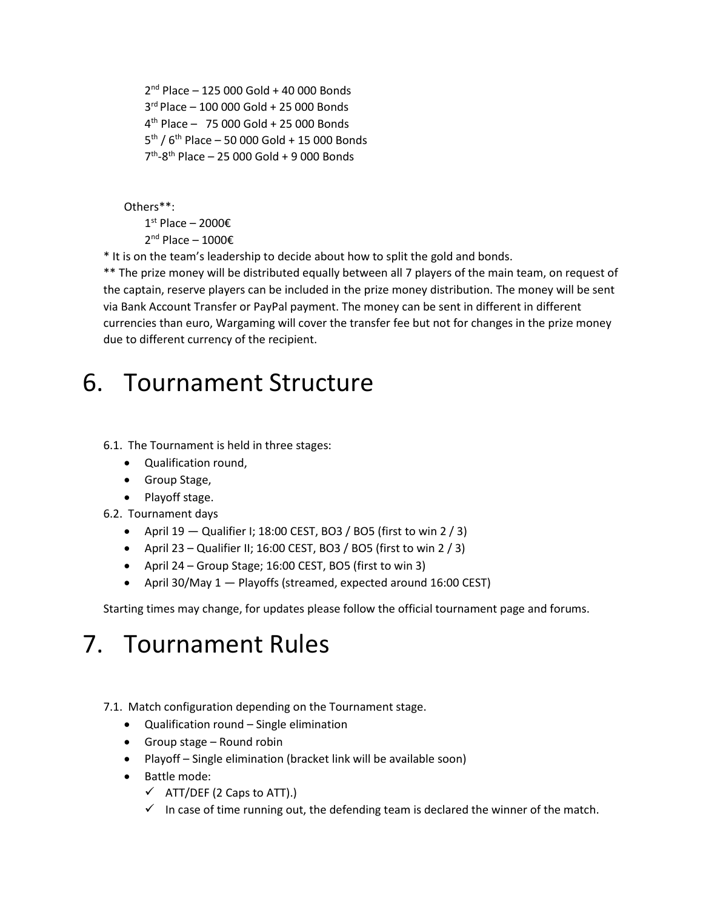nd Place – 125 000 Gold + 40 000 Bonds rd Place – 100 000 Gold + 25 000 Bonds th Place – 75 000 Gold + 25 000 Bonds 5<sup>th</sup> / 6<sup>th</sup> Place – 50 000 Gold + 15 000 Bonds th -8 th Place – 25 000 Gold + 9 000 Bonds

Others\*\*:

1<sup>st</sup> Place − 2000€

2<sup>nd</sup> Place – 1000€

\* It is on the team's leadership to decide about how to split the gold and bonds.

\*\* The prize money will be distributed equally between all 7 players of the main team, on request of the captain, reserve players can be included in the prize money distribution. The money will be sent via Bank Account Transfer or PayPal payment. The money can be sent in different in different currencies than euro, Wargaming will cover the transfer fee but not for changes in the prize money due to different currency of the recipient.

### 6. Tournament Structure

#### 6.1. The Tournament is held in three stages:

- Qualification round,
- Group Stage,
- Playoff stage.
- 6.2. Tournament days
	- April  $19 -$ Qualifier I; 18:00 CEST, BO3 / BO5 (first to win 2 / 3)
	- April 23 Qualifier II; 16:00 CEST, BO3 / BO5 (first to win 2 / 3)
	- April 24 Group Stage; 16:00 CEST, BO5 (first to win 3)
	- April 30/May 1 Playoffs (streamed, expected around 16:00 CEST)

Starting times may change, for updates please follow the official tournament page and forums.

## 7. Tournament Rules

- 7.1. Match configuration depending on the Tournament stage.
	- Qualification round Single elimination
	- Group stage Round robin
	- Playoff Single elimination (bracket link will be available soon)
	- Battle mode:
		- $\checkmark$  ATT/DEF (2 Caps to ATT).)
		- $\checkmark$  In case of time running out, the defending team is declared the winner of the match.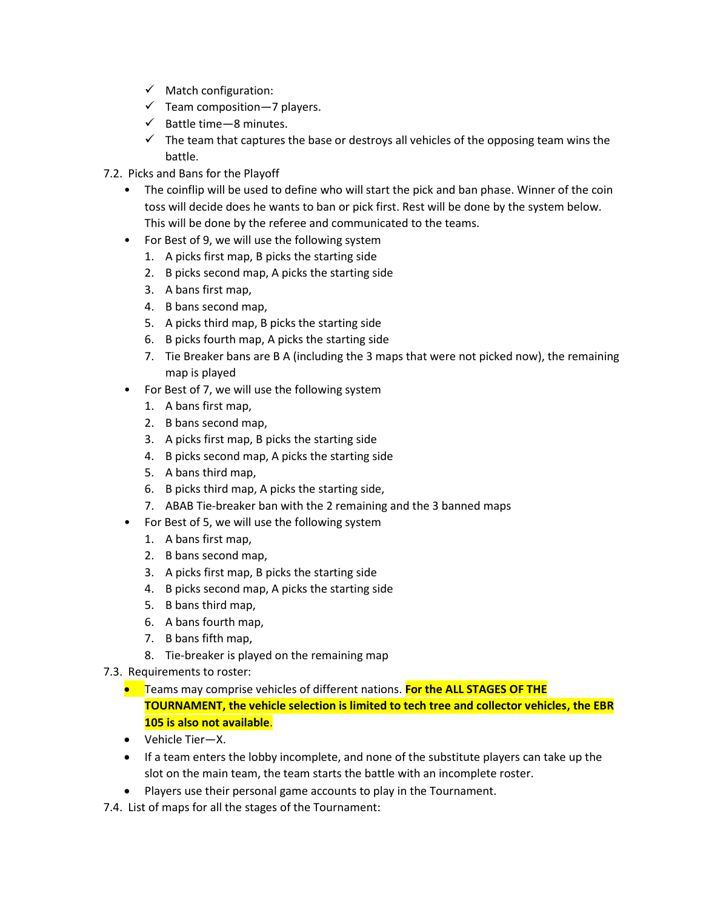- $\checkmark$  Match configuration:
- $\checkmark$  Team composition 7 players.
- $\checkmark$  Battle time 8 minutes.
- $\checkmark$  The team that captures the base or destroys all vehicles of the opposing team wins the battle.
- 7.2. Picks and Bans for the Playoff
	- The coinflip will be used to define who will start the pick and ban phase. Winner of the coin toss will decide does he wants to ban or pick first. Rest will be done by the system below. This will be done by the referee and communicated to the teams.
	- For Best of 9, we will use the following system
		- 1. A picks first map, B picks the starting side
		- 2. B picks second map, A picks the starting side
		- 3. A bans first map,
		- 4. B bans second map,
		- 5. A picks third map, B picks the starting side
		- 6. B picks fourth map, A picks the starting side
		- 7. Tie Breaker bans are B A (including the 3 maps that were not picked now), the remaining map is played
	- For Best of 7, we will use the following system
		- 1. A bans first map,
		- 2. B bans second map,
		- 3. A picks first map, B picks the starting side
		- 4. B picks second map, A picks the starting side
		- 5. A bans third map,
		- 6. B picks third map, A picks the starting side,
		- 7. ABAB Tie-breaker ban with the 2 remaining and the 3 banned maps
	- For Best of 5, we will use the following system
		- 1. A bans first map,
		- 2. B bans second map,
		- 3. A picks first map, B picks the starting side
		- 4. B picks second map, A picks the starting side
		- 5. B bans third map,
		- 6. A bans fourth map,
		- 7. B bans fifth map,
			- 8. Tie-breaker is played on the remaining map
- 7.3. Requirements to roster:
	- Teams may comprise vehicles of different nations. **For the ALL STAGES OF THE TOURNAMENT, the vehicle selection is limited to tech tree and collector vehicles, the EBR 105 is also not available**.
	- Vehicle Tier—X.
	- If a team enters the lobby incomplete, and none of the substitute players can take up the slot on the main team, the team starts the battle with an incomplete roster.
	- Players use their personal game accounts to play in the Tournament.
- 7.4. List of maps for all the stages of the Tournament: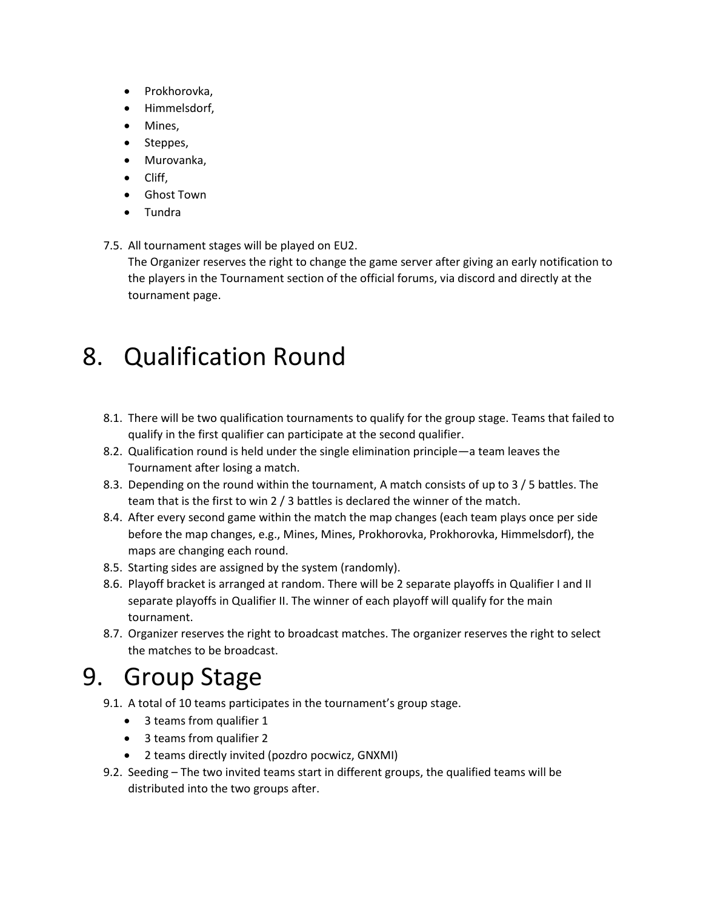- Prokhorovka,
- Himmelsdorf,
- Mines,
- Steppes,
- Murovanka,
- Cliff,
- Ghost Town
- Tundra
- 7.5. All tournament stages will be played on EU2.

The Organizer reserves the right to change the game server after giving an early notification to the players in the Tournament section of the official forums, via discord and directly at the tournament page.

## 8. Qualification Round

- 8.1. There will be two qualification tournaments to qualify for the group stage. Teams that failed to qualify in the first qualifier can participate at the second qualifier.
- 8.2. Qualification round is held under the single elimination principle—a team leaves the Tournament after losing a match.
- 8.3. Depending on the round within the tournament, A match consists of up to 3 / 5 battles. The team that is the first to win 2 / 3 battles is declared the winner of the match.
- 8.4. After every second game within the match the map changes (each team plays once per side before the map changes, e.g., Mines, Mines, Prokhorovka, Prokhorovka, Himmelsdorf), the maps are changing each round.
- 8.5. Starting sides are assigned by the system (randomly).
- 8.6. Playoff bracket is arranged at random. There will be 2 separate playoffs in Qualifier I and II separate playoffs in Qualifier II. The winner of each playoff will qualify for the main tournament.
- 8.7. Organizer reserves the right to broadcast matches. The organizer reserves the right to select the matches to be broadcast.

## 9. Group Stage

- 9.1. A total of 10 teams participates in the tournament's group stage.
	- 3 teams from qualifier 1
	- 3 teams from qualifier 2
	- 2 teams directly invited (pozdro pocwicz, GNXMI)
- 9.2. Seeding The two invited teams start in different groups, the qualified teams will be distributed into the two groups after.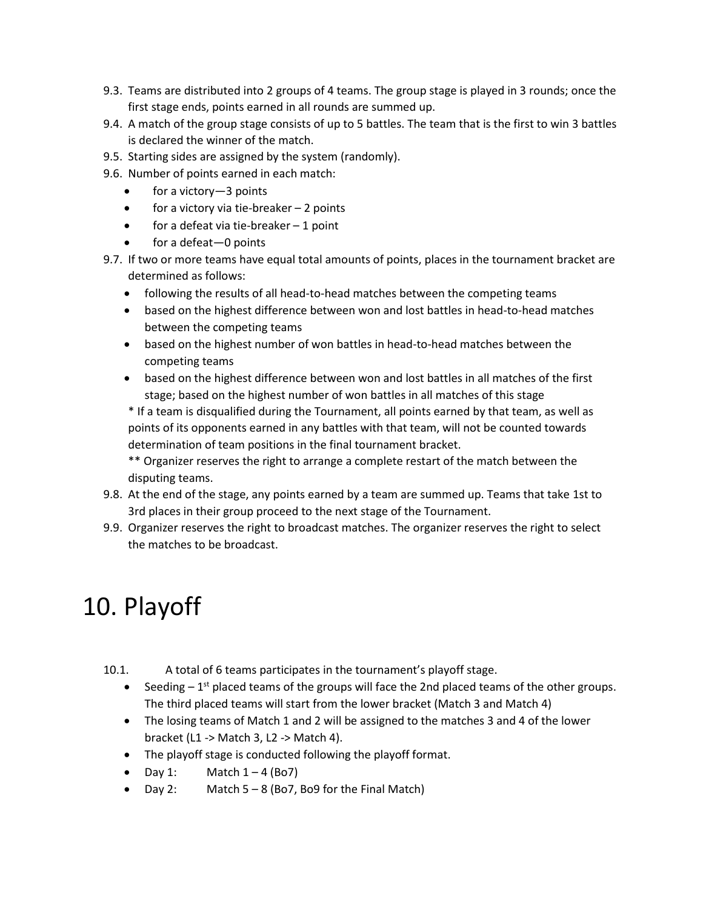- 9.3. Teams are distributed into 2 groups of 4 teams. The group stage is played in 3 rounds; once the first stage ends, points earned in all rounds are summed up.
- 9.4. A match of the group stage consists of up to 5 battles. The team that is the first to win 3 battles is declared the winner of the match.
- 9.5. Starting sides are assigned by the system (randomly).
- 9.6. Number of points earned in each match:
	- for a victory-3 points
	- for a victory via tie-breaker 2 points
	- for a defeat via tie-breaker 1 point
	- for a defeat-0 points
- 9.7. If two or more teams have equal total amounts of points, places in the tournament bracket are determined as follows:
	- following the results of all head-to-head matches between the competing teams
	- based on the highest difference between won and lost battles in head-to-head matches between the competing teams
	- based on the highest number of won battles in head-to-head matches between the competing teams
	- based on the highest difference between won and lost battles in all matches of the first stage; based on the highest number of won battles in all matches of this stage

\* If a team is disqualified during the Tournament, all points earned by that team, as well as points of its opponents earned in any battles with that team, will not be counted towards determination of team positions in the final tournament bracket.

\*\* Organizer reserves the right to arrange a complete restart of the match between the disputing teams.

- 9.8. At the end of the stage, any points earned by a team are summed up. Teams that take 1st to 3rd places in their group proceed to the next stage of the Tournament.
- 9.9. Organizer reserves the right to broadcast matches. The organizer reserves the right to select the matches to be broadcast.

## 10. Playoff

- 10.1. A total of 6 teams participates in the tournament's playoff stage.
	- Seeding  $-1^{st}$  placed teams of the groups will face the 2nd placed teams of the other groups. The third placed teams will start from the lower bracket (Match 3 and Match 4)
	- The losing teams of Match 1 and 2 will be assigned to the matches 3 and 4 of the lower bracket (L1 -> Match 3, L2 -> Match 4).
	- The playoff stage is conducted following the playoff format.
	- Day 1: Match  $1 4$  (Bo7)
	- Day 2: Match 5 8 (Bo7, Bo9 for the Final Match)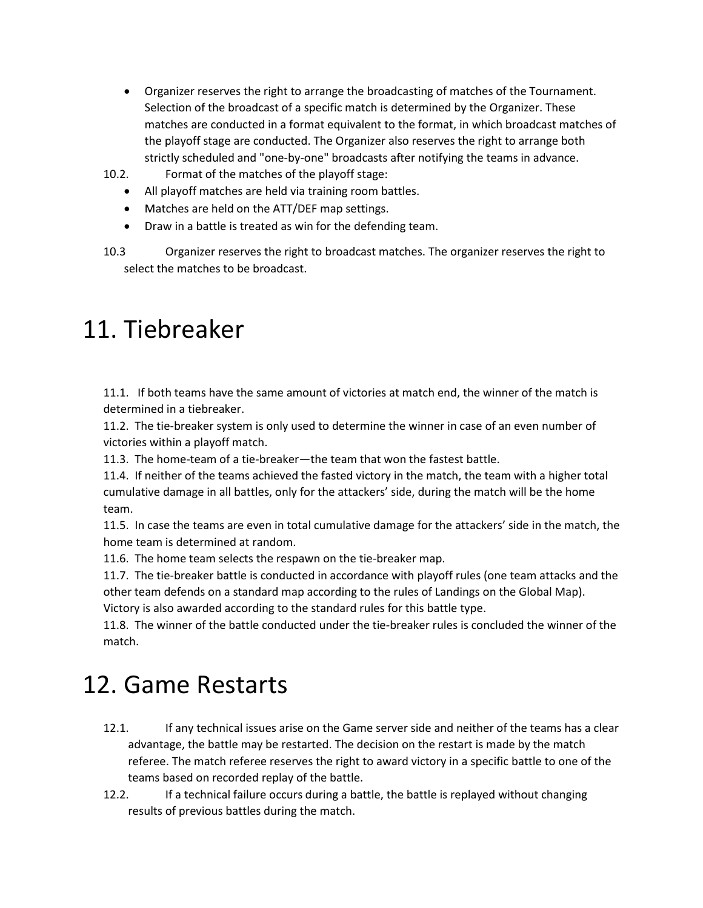- Organizer reserves the right to arrange the broadcasting of matches of the Tournament. Selection of the broadcast of a specific match is determined by the Organizer. These matches are conducted in a format equivalent to the format, in which broadcast matches of the playoff stage are conducted. The Organizer also reserves the right to arrange both strictly scheduled and "one-by-one" broadcasts after notifying the teams in advance.
- 10.2. Format of the matches of the playoff stage:
	- All playoff matches are held via training room battles.
	- Matches are held on the ATT/DEF map settings.
	- Draw in a battle is treated as win for the defending team.

10.3 Organizer reserves the right to broadcast matches. The organizer reserves the right to select the matches to be broadcast.

#### 11. Tiebreaker

11.1. If both teams have the same amount of victories at match end, the winner of the match is determined in a tiebreaker.

11.2. The tie-breaker system is only used to determine the winner in case of an even number of victories within a playoff match.

11.3. The home-team of a tie-breaker—the team that won the fastest battle.

11.4. If neither of the teams achieved the fasted victory in the match, the team with a higher total cumulative damage in all battles, only for the attackers' side, during the match will be the home team.

11.5. In case the teams are even in total cumulative damage for the attackers' side in the match, the home team is determined at random.

11.6. The home team selects the respawn on the tie-breaker map.

11.7. The tie-breaker battle is conducted in accordance with playoff rules (one team attacks and the other team defends on a standard map according to the rules of Landings on the Global Map). Victory is also awarded according to the standard rules for this battle type.

11.8. The winner of the battle conducted under the tie-breaker rules is concluded the winner of the match.

## 12. Game Restarts

- 12.1. If any technical issues arise on the Game server side and neither of the teams has a clear advantage, the battle may be restarted. The decision on the restart is made by the match referee. The match referee reserves the right to award victory in a specific battle to one of the teams based on recorded replay of the battle.
- 12.2. If a technical failure occurs during a battle, the battle is replayed without changing results of previous battles during the match.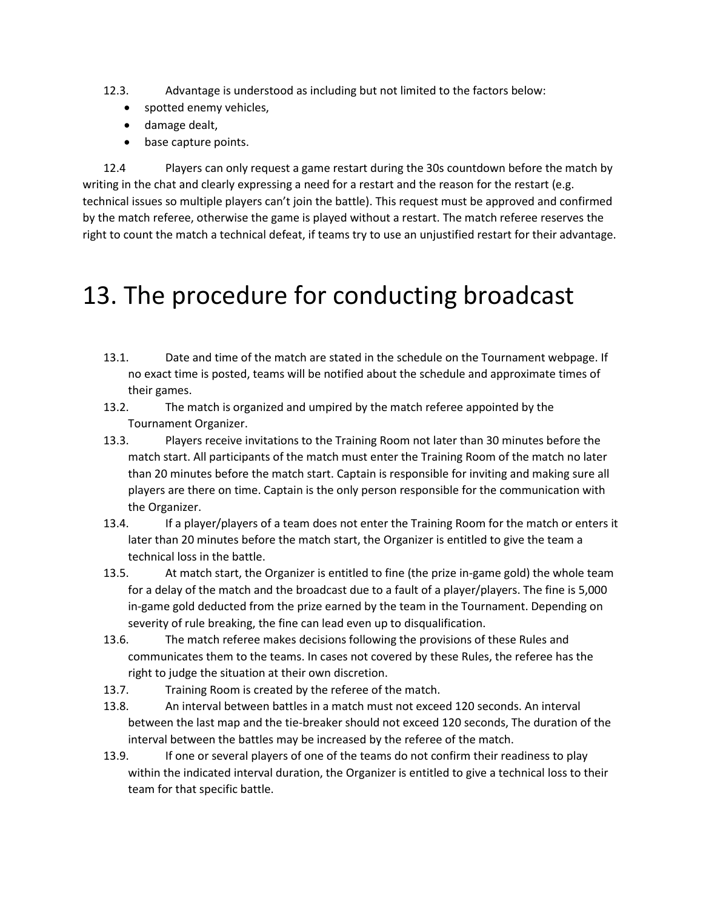- 12.3. Advantage is understood as including but not limited to the factors below:
	- spotted enemy vehicles,
	- damage dealt,
	- base capture points.

12.4 Players can only request a game restart during the 30s countdown before the match by writing in the chat and clearly expressing a need for a restart and the reason for the restart (e.g. technical issues so multiple players can't join the battle). This request must be approved and confirmed by the match referee, otherwise the game is played without a restart. The match referee reserves the right to count the match a technical defeat, if teams try to use an unjustified restart for their advantage.

### 13. The procedure for conducting broadcast

- 13.1. Date and time of the match are stated in the schedule on the Tournament webpage. If no exact time is posted, teams will be notified about the schedule and approximate times of their games.
- 13.2. The match is organized and umpired by the match referee appointed by the Tournament Organizer.
- 13.3. Players receive invitations to the Training Room not later than 30 minutes before the match start. All participants of the match must enter the Training Room of the match no later than 20 minutes before the match start. Captain is responsible for inviting and making sure all players are there on time. Captain is the only person responsible for the communication with the Organizer.
- 13.4. If a player/players of a team does not enter the Training Room for the match or enters it later than 20 minutes before the match start, the Organizer is entitled to give the team a technical loss in the battle.
- 13.5. At match start, the Organizer is entitled to fine (the prize in-game gold) the whole team for a delay of the match and the broadcast due to a fault of a player/players. The fine is 5,000 in-game gold deducted from the prize earned by the team in the Tournament. Depending on severity of rule breaking, the fine can lead even up to disqualification.
- 13.6. The match referee makes decisions following the provisions of these Rules and communicates them to the teams. In cases not covered by these Rules, the referee has the right to judge the situation at their own discretion.
- 13.7. Training Room is created by the referee of the match.
- 13.8. An interval between battles in a match must not exceed 120 seconds. An interval between the last map and the tie-breaker should not exceed 120 seconds, The duration of the interval between the battles may be increased by the referee of the match.
- 13.9. If one or several players of one of the teams do not confirm their readiness to play within the indicated interval duration, the Organizer is entitled to give a technical loss to their team for that specific battle.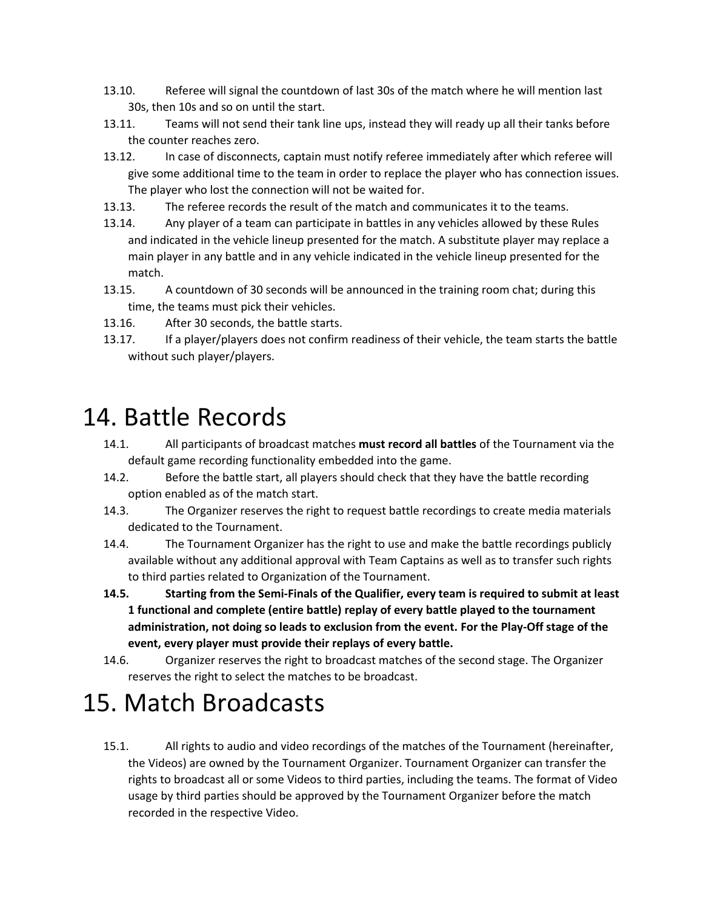- 13.10. Referee will signal the countdown of last 30s of the match where he will mention last 30s, then 10s and so on until the start.
- 13.11. Teams will not send their tank line ups, instead they will ready up all their tanks before the counter reaches zero.
- 13.12. In case of disconnects, captain must notify referee immediately after which referee will give some additional time to the team in order to replace the player who has connection issues. The player who lost the connection will not be waited for.
- 13.13. The referee records the result of the match and communicates it to the teams.
- 13.14. Any player of a team can participate in battles in any vehicles allowed by these Rules and indicated in the vehicle lineup presented for the match. A substitute player may replace a main player in any battle and in any vehicle indicated in the vehicle lineup presented for the match.
- 13.15. A countdown of 30 seconds will be announced in the training room chat; during this time, the teams must pick their vehicles.
- 13.16. After 30 seconds, the battle starts.
- 13.17. If a player/players does not confirm readiness of their vehicle, the team starts the battle without such player/players.

#### 14. Battle Records

- 14.1. All participants of broadcast matches **must record all battles** of the Tournament via the default game recording functionality embedded into the game.
- 14.2. Before the battle start, all players should check that they have the battle recording option enabled as of the match start.
- 14.3. The Organizer reserves the right to request battle recordings to create media materials dedicated to the Tournament.
- 14.4. The Tournament Organizer has the right to use and make the battle recordings publicly available without any additional approval with Team Captains as well as to transfer such rights to third parties related to Organization of the Tournament.
- **14.5. Starting from the Semi-Finals of the Qualifier, every team is required to submit at least 1 functional and complete (entire battle) replay of every battle played to the tournament administration, not doing so leads to exclusion from the event. For the Play-Off stage of the event, every player must provide their replays of every battle.**
- 14.6. Organizer reserves the right to broadcast matches of the second stage. The Organizer reserves the right to select the matches to be broadcast.

### 15. Match Broadcasts

15.1. All rights to audio and video recordings of the matches of the Tournament (hereinafter, the Videos) are owned by the Tournament Organizer. Tournament Organizer can transfer the rights to broadcast all or some Videos to third parties, including the teams. The format of Video usage by third parties should be approved by the Tournament Organizer before the match recorded in the respective Video.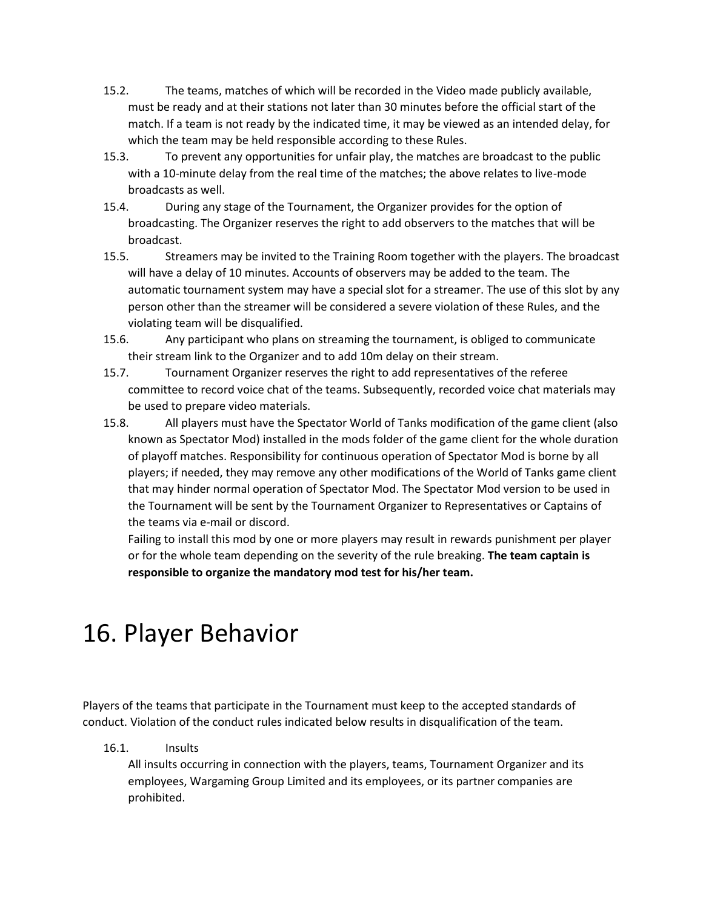- 15.2. The teams, matches of which will be recorded in the Video made publicly available, must be ready and at their stations not later than 30 minutes before the official start of the match. If a team is not ready by the indicated time, it may be viewed as an intended delay, for which the team may be held responsible according to these Rules.
- 15.3. To prevent any opportunities for unfair play, the matches are broadcast to the public with a 10-minute delay from the real time of the matches; the above relates to live-mode broadcasts as well.
- 15.4. During any stage of the Tournament, the Organizer provides for the option of broadcasting. The Organizer reserves the right to add observers to the matches that will be broadcast.
- 15.5. Streamers may be invited to the Training Room together with the players. The broadcast will have a delay of 10 minutes. Accounts of observers may be added to the team. The automatic tournament system may have a special slot for a streamer. The use of this slot by any person other than the streamer will be considered a severe violation of these Rules, and the violating team will be disqualified.
- 15.6. Any participant who plans on streaming the tournament, is obliged to communicate their stream link to the Organizer and to add 10m delay on their stream.
- 15.7. Tournament Organizer reserves the right to add representatives of the referee committee to record voice chat of the teams. Subsequently, recorded voice chat materials may be used to prepare video materials.
- 15.8. All players must have the Spectator World of Tanks modification of the game client (also known as Spectator Mod) installed in the mods folder of the game client for the whole duration of playoff matches. Responsibility for continuous operation of Spectator Mod is borne by all players; if needed, they may remove any other modifications of the World of Tanks game client that may hinder normal operation of Spectator Mod. The Spectator Mod version to be used in the Tournament will be sent by the Tournament Organizer to Representatives or Captains of the teams via e-mail or discord.

Failing to install this mod by one or more players may result in rewards punishment per player or for the whole team depending on the severity of the rule breaking. **The team captain is responsible to organize the mandatory mod test for his/her team.**

## 16. Player Behavior

Players of the teams that participate in the Tournament must keep to the accepted standards of conduct. Violation of the conduct rules indicated below results in disqualification of the team.

16.1. Insults

All insults occurring in connection with the players, teams, Tournament Organizer and its employees, Wargaming Group Limited and its employees, or its partner companies are prohibited.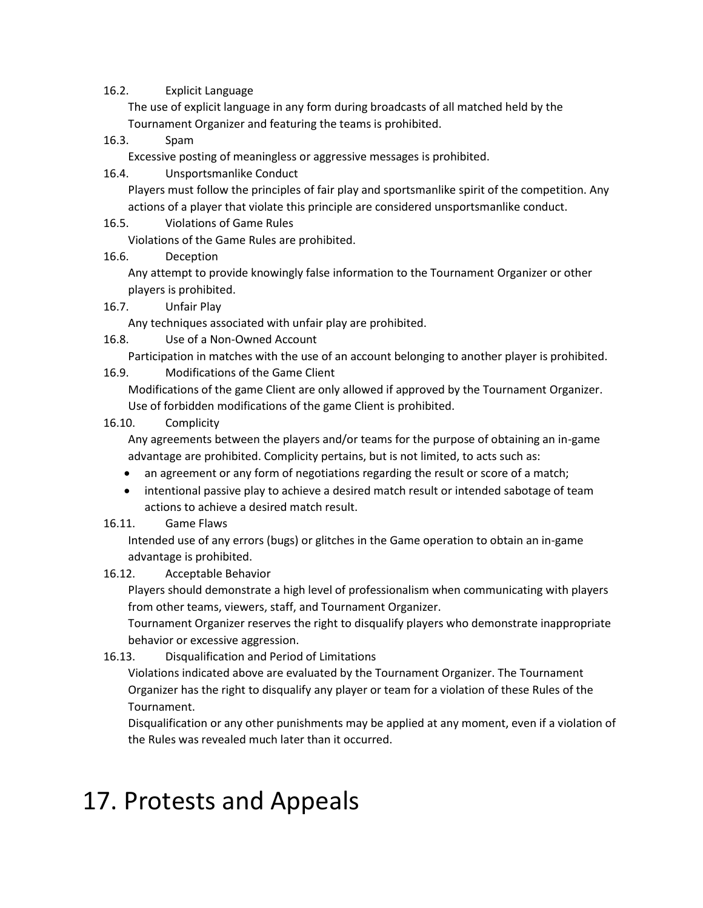#### 16.2. Explicit Language

The use of explicit language in any form during broadcasts of all matched held by the Tournament Organizer and featuring the teams is prohibited.

#### 16.3. Spam

Excessive posting of meaningless or aggressive messages is prohibited.

16.4. Unsportsmanlike Conduct

Players must follow the principles of fair play and sportsmanlike spirit of the competition. Any actions of a player that violate this principle are considered unsportsmanlike conduct.

16.5. Violations of Game Rules

Violations of the Game Rules are prohibited.

16.6. Deception

Any attempt to provide knowingly false information to the Tournament Organizer or other players is prohibited.

16.7. Unfair Play

Any techniques associated with unfair play are prohibited.

16.8. Use of a Non-Owned Account

Participation in matches with the use of an account belonging to another player is prohibited.

16.9. Modifications of the Game Client

Modifications of the game Client are only allowed if approved by the Tournament Organizer. Use of forbidden modifications of the game Client is prohibited.

16.10. Complicity

Any agreements between the players and/or teams for the purpose of obtaining an in-game advantage are prohibited. Complicity pertains, but is not limited, to acts such as:

- an agreement or any form of negotiations regarding the result or score of a match;
- intentional passive play to achieve a desired match result or intended sabotage of team actions to achieve a desired match result.
- 16.11. Game Flaws

Intended use of any errors (bugs) or glitches in the Game operation to obtain an in-game advantage is prohibited.

16.12. Acceptable Behavior

Players should demonstrate a high level of professionalism when communicating with players from other teams, viewers, staff, and Tournament Organizer.

Tournament Organizer reserves the right to disqualify players who demonstrate inappropriate behavior or excessive aggression.

16.13. Disqualification and Period of Limitations

Violations indicated above are evaluated by the Tournament Organizer. The Tournament Organizer has the right to disqualify any player or team for a violation of these Rules of the Tournament.

Disqualification or any other punishments may be applied at any moment, even if a violation of the Rules was revealed much later than it occurred.

## 17. Protests and Appeals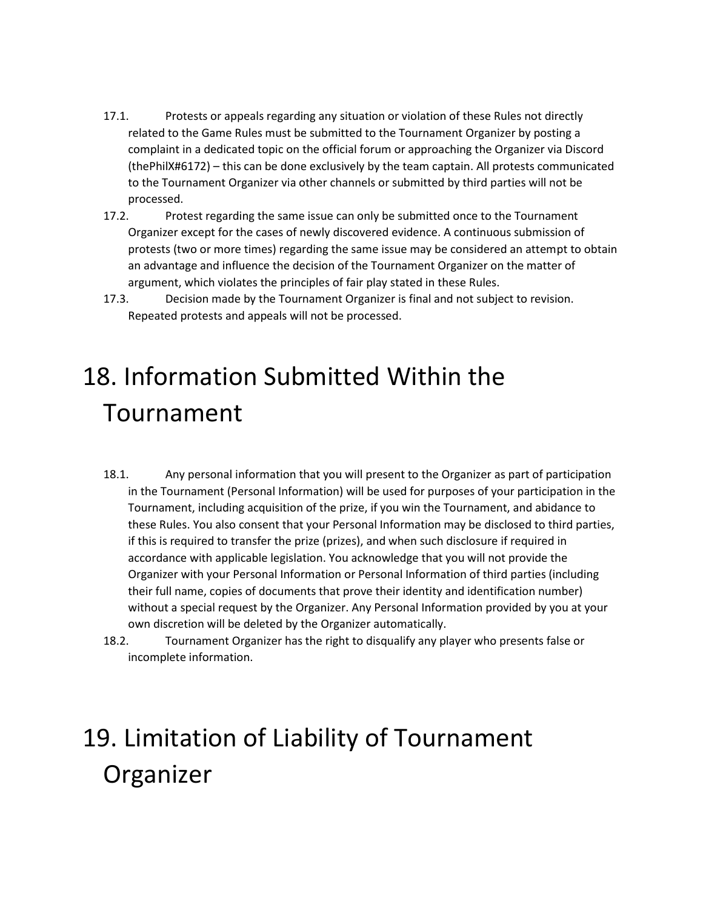- 17.1. Protests or appeals regarding any situation or violation of these Rules not directly related to the Game Rules must be submitted to the Tournament Organizer by posting a complaint in a dedicated topic on the official forum or approaching the Organizer via Discord (thePhilX#6172) – this can be done exclusively by the team captain. All protests communicated to the Tournament Organizer via other channels or submitted by third parties will not be processed.
- 17.2. Protest regarding the same issue can only be submitted once to the Tournament Organizer except for the cases of newly discovered evidence. A continuous submission of protests (two or more times) regarding the same issue may be considered an attempt to obtain an advantage and influence the decision of the Tournament Organizer on the matter of argument, which violates the principles of fair play stated in these Rules.
- 17.3. Decision made by the Tournament Organizer is final and not subject to revision. Repeated protests and appeals will not be processed.

# 18. Information Submitted Within the Tournament

- 18.1. Any personal information that you will present to the Organizer as part of participation in the Tournament (Personal Information) will be used for purposes of your participation in the Tournament, including acquisition of the prize, if you win the Tournament, and abidance to these Rules. You also consent that your Personal Information may be disclosed to third parties, if this is required to transfer the prize (prizes), and when such disclosure if required in accordance with applicable legislation. You acknowledge that you will not provide the Organizer with your Personal Information or Personal Information of third parties (including their full name, copies of documents that prove their identity and identification number) without a special request by the Organizer. Any Personal Information provided by you at your own discretion will be deleted by the Organizer automatically.
- 18.2. Tournament Organizer has the right to disqualify any player who presents false or incomplete information.

# 19. Limitation of Liability of Tournament Organizer